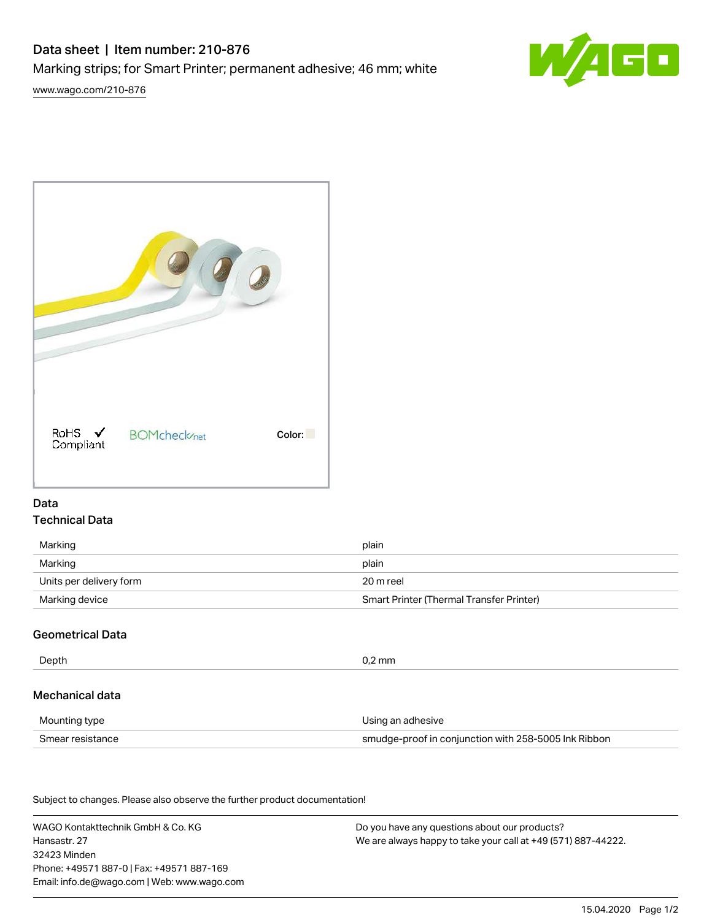# Data sheet | Item number: 210-876

Marking strips; for Smart Printer; permanent adhesive; 46 mm; white

[www.wago.com/210-876](http://www.wago.com/210-876)





#### Data Technical Data

| Marking                 | plain                                    |
|-------------------------|------------------------------------------|
| Marking                 | plain                                    |
| Units per delivery form | 20 m reel                                |
| Marking device          | Smart Printer (Thermal Transfer Printer) |

# Geometrical Data

| Depth            | $0.2$ mm                                             |  |
|------------------|------------------------------------------------------|--|
| Mechanical data  |                                                      |  |
| Mounting type    | Using an adhesive                                    |  |
| Smear resistance | smudge-proof in conjunction with 258-5005 Ink Ribbon |  |

Subject to changes. Please also observe the further product documentation!

WAGO Kontakttechnik GmbH & Co. KG Hansastr. 27 32423 Minden Phone: +49571 887-0 | Fax: +49571 887-169 Email: info.de@wago.com | Web: www.wago.com

Do you have any questions about our products? We are always happy to take your call at +49 (571) 887-44222.